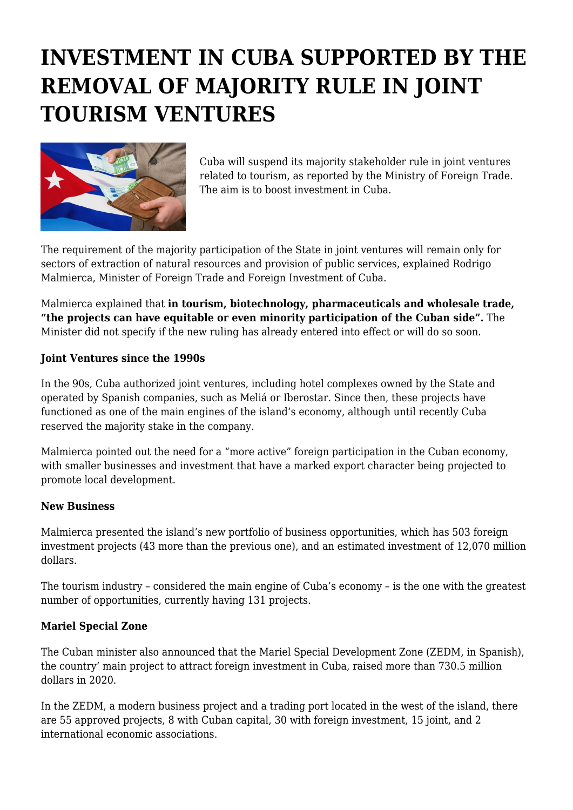# **INVESTMENT IN CUBA SUPPORTED BY THE REMOVAL OF MAJORITY RULE IN JOINT TOURISM VENTURES**



Cuba will suspend its majority stakeholder rule in joint ventures related to tourism, as reported by the Ministry of Foreign Trade. The aim is to boost investment in Cuba.

The requirement of the majority participation of the State in joint ventures will remain only for sectors of extraction of natural resources and provision of public services, explained Rodrigo Malmierca, Minister of Foreign Trade and Foreign Investment of Cuba.

Malmierca explained that **in tourism, biotechnology, pharmaceuticals and wholesale trade, "the projects can have equitable or even minority participation of the Cuban side".** The Minister did not specify if the new ruling has already entered into effect or will do so soon.

#### **Joint Ventures since the 1990s**

In the 90s, Cuba authorized joint ventures, including hotel complexes owned by the State and operated by Spanish companies, such as Meliá or Iberostar. Since then, these projects have functioned as one of the main engines of the island's economy, although until recently Cuba reserved the majority stake in the company.

Malmierca pointed out the need for a "more active" foreign participation in the Cuban economy, with smaller businesses and investment that have a marked export character being projected to promote local development.

## **New Business**

Malmierca presented the island's new portfolio of business opportunities, which has 503 foreign investment projects (43 more than the previous one), and an estimated investment of 12,070 million dollars.

The tourism industry – considered the main engine of Cuba's economy – is the one with the greatest number of opportunities, currently having 131 projects.

## **Mariel Special Zone**

The Cuban minister also announced that the Mariel Special Development Zone (ZEDM, in Spanish), the country' main project to attract foreign investment in Cuba, raised more than 730.5 million dollars in 2020.

In the ZEDM, a modern business project and a trading port located in the west of the island, there are 55 approved projects, 8 with Cuban capital, 30 with foreign investment, 15 joint, and 2 international economic associations.